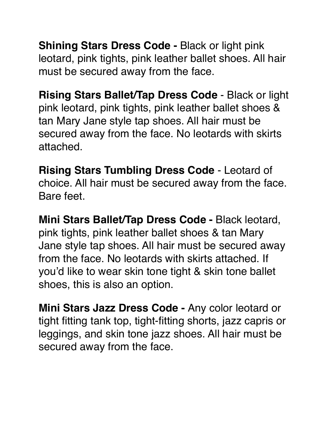**Shining Stars Dress Code - Black or light pink** leotard, pink tights, pink leather ballet shoes. All hair must be secured away from the face.

**Rising Stars Ballet/Tap Dress Code** - Black or light pink leotard, pink tights, pink leather ballet shoes & tan Mary Jane style tap shoes. All hair must be secured away from the face. No leotards with skirts attached.

**Rising Stars Tumbling Dress Code** - Leotard of choice. All hair must be secured away from the face. Bare feet.

**Mini Stars Ballet/Tap Dress Code -** Black leotard, pink tights, pink leather ballet shoes & tan Mary Jane style tap shoes. All hair must be secured away from the face. No leotards with skirts attached. If you'd like to wear skin tone tight & skin tone ballet shoes, this is also an option.

**Mini Stars Jazz Dress Code -** Any color leotard or tight fitting tank top, tight-fitting shorts, jazz capris or leggings, and skin tone jazz shoes. All hair must be secured away from the face.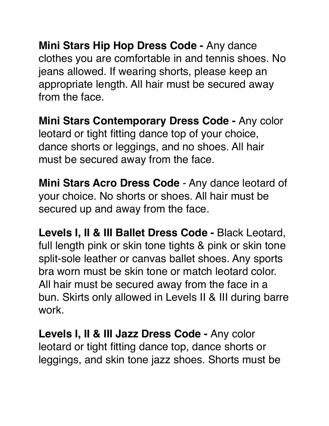**Mini Stars Hip Hop Dress Code -** Any dance clothes you are comfortable in and tennis shoes. No jeans allowed. If wearing shorts, please keep an appropriate length. All hair must be secured away from the face.

**Mini Stars Contemporary Dress Code -** Any color leotard or tight fitting dance top of your choice, dance shorts or leggings, and no shoes. All hair must be secured away from the face.

**Mini Stars Acro Dress Code** - Any dance leotard of your choice. No shorts or shoes. All hair must be secured up and away from the face.

**Levels I, II & III Ballet Dress Code -** Black Leotard, full length pink or skin tone tights & pink or skin tone split-sole leather or canvas ballet shoes. Any sports bra worn must be skin tone or match leotard color. All hair must be secured away from the face in a bun. Skirts only allowed in Levels II & III during barre work.

**Levels I, II & III Jazz Dress Code -** Any color leotard or tight fitting dance top, dance shorts or leggings, and skin tone jazz shoes. Shorts must be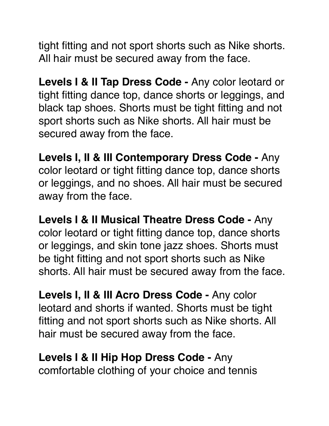tight fitting and not sport shorts such as Nike shorts. All hair must be secured away from the face.

**Levels I & II Tap Dress Code -** Any color leotard or tight fitting dance top, dance shorts or leggings, and black tap shoes. Shorts must be tight fitting and not sport shorts such as Nike shorts. All hair must be secured away from the face.

**Levels I, II & III Contemporary Dress Code -** Any color leotard or tight fitting dance top, dance shorts or leggings, and no shoes. All hair must be secured away from the face.

**Levels I & II Musical Theatre Dress Code -** Any color leotard or tight fitting dance top, dance shorts or leggings, and skin tone jazz shoes. Shorts must be tight fitting and not sport shorts such as Nike shorts. All hair must be secured away from the face.

**Levels I, II & III Acro Dress Code -** Any color leotard and shorts if wanted. Shorts must be tight fitting and not sport shorts such as Nike shorts. All hair must be secured away from the face.

**Levels I & II Hip Hop Dress Code -** Any comfortable clothing of your choice and tennis